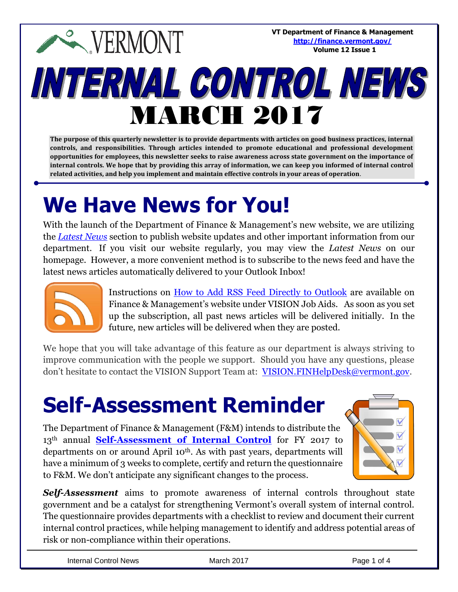**VT Department of Finance & Management EVERMONT <http://finance.vermont.gov/> Volume 12 Issue 1**INTERNAL CONTROL NEWS MARCH 2017

**The purpose of this quarterly newsletter is to provide departments with articles on good business practices, internal controls, and responsibilities. Through articles intended to promote educational and professional development opportunities for employees, this newsletter seeks to raise awareness across state government on the importance of internal controls. We hope that by providing this array of information, we can keep you informed of internal control related activities, and help you implement and maintain effective controls in your areas of operation**.

## **We Have News for You!**

With the launch of the Department of Finance & Management's new website, we are utilizing the *[Latest News](http://finance.vermont.gov/news)* section to publish website updates and other important information from our department. If you visit our website regularly, you may view the *Latest News* on our homepage. However, a more convenient method is to subscribe to the news feed and have the latest news articles automatically delivered to your Outlook Inbox!



Instructions on [How to Add RSS Feed Directly to Outlook](http://finance.vermont.gov/training-and-support/vision-job-aids-and-operational-guidance) are available on Finance & Management's website under VISION Job Aids. As soon as you set up the subscription, all past news articles will be delivered initially. In the future, new articles will be delivered when they are posted.

We hope that you will take advantage of this feature as our department is always striving to improve communication with the people we support. Should you have any questions, please don't hesitate to contact the VISION Support Team at: [VISION.FINHelpDesk@vermont.gov.](mailto:VISION.FINHelpDesk@vermont.gov)

## **Self-Assessment Reminder**

The Department of Finance & Management (F&M) intends to distribute the 13<sup>th</sup> annual **[Self-Assessment of Internal Control](http://finance.vermont.gov/policies-and-procedures/internal-controls)** for FY 2017 to departments on or around April 10th. As with past years, departments will have a minimum of 3 weeks to complete, certify and return the questionnaire to F&M. We don't anticipate any significant changes to the process.



*Self-Assessment* aims to promote awareness of internal controls throughout state government and be a catalyst for strengthening Vermont's overall system of internal control. The questionnaire provides departments with a checklist to review and document their current internal control practices, while helping management to identify and address potential areas of risk or non-compliance within their operations.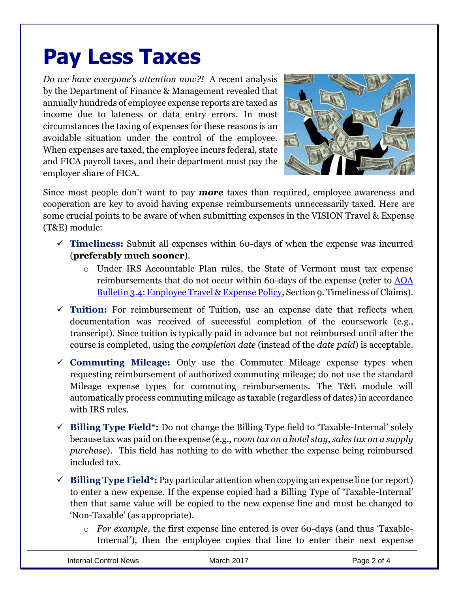## **Pay Less Taxes**

*Do we have everyone's attention now?!* A recent analysis by the Department of Finance & Management revealed that annually hundreds of employee expense reports are taxed as income due to lateness or data entry errors. In most circumstances the taxing of expenses for these reasons is an avoidable situation under the control of the employee. When expenses are taxed, the employee incurs federal, state and FICA payroll taxes, and their department must pay the employer share of FICA.



Since most people don't want to pay *more* taxes than required, employee awareness and cooperation are key to avoid having expense reimbursements unnecessarily taxed. Here are some crucial points to be aware of when submitting expenses in the VISION Travel & Expense (T&E) module:

- $\checkmark$  **Timeliness:** Submit all expenses within 60-days of when the expense was incurred (**preferably much sooner**).
	- o Under IRS Accountable Plan rules, the State of Vermont must tax expense reimbursements that do not occur within 60-days of the expense (refer to [AOA](http://aoa.vermont.gov/bulletins)  [Bulletin 3.4: Employee Travel & Expense Policy,](http://aoa.vermont.gov/bulletins) Section 9. Timeliness of Claims).
- **Tuition:** For reimbursement of Tuition, use an expense date that reflects when documentation was received of successful completion of the coursework (e.g., transcript). Since tuition is typically paid in advance but not reimbursed until after the course is completed, using the *completion date* (instead of the *date paid*) is acceptable.
- **Commuting Mileage:** Only use the Commuter Mileage expense types when requesting reimbursement of authorized commuting mileage; do not use the standard Mileage expense types for commuting reimbursements. The T&E module will automatically process commuting mileage as taxable (regardless of dates) in accordance with IRS rules.
- **Billing Type Field\*:** Do not change the Billing Type field to 'Taxable-Internal' solely because tax was paid on the expense (e.g., *room tax on a hotel stay*, *sales tax on a supply purchase*). This field has nothing to do with whether the expense being reimbursed included tax.
- $\checkmark$  **Billing Type Field**<sup>\*</sup>: Pay particular attention when copying an expense line (or report) to enter a new expense. If the expense copied had a Billing Type of 'Taxable-Internal' then that same value will be copied to the new expense line and must be changed to 'Non-Taxable' (as appropriate).
	- o *For example*, the first expense line entered is over 60-days (and thus 'Taxable-Internal'), then the employee copies that line to enter their next expense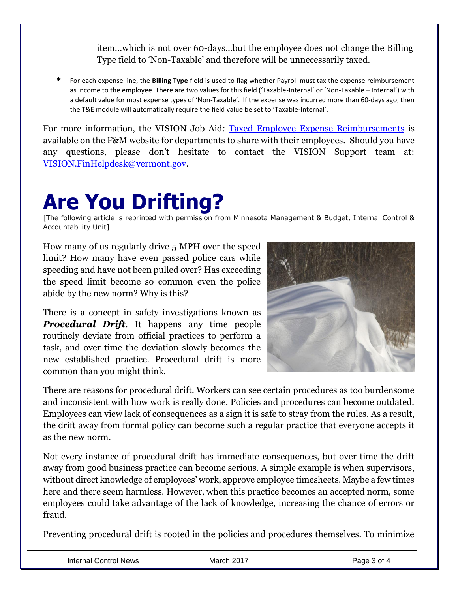item…which is not over 60-days…but the employee does not change the Billing Type field to 'Non-Taxable' and therefore will be unnecessarily taxed.

**\*** For each expense line, the **Billing Type** field is used to flag whether Payroll must tax the expense reimbursement as income to the employee. There are two values for this field ('Taxable-Internal' or 'Non-Taxable – Internal') with a default value for most expense types of 'Non-Taxable'. If the expense was incurred more than 60-days ago, then the T&E module will automatically require the field value be set to 'Taxable-Internal'.

For more information, the VISION Job Aid: [Taxed Employee Expense Reimbursements](http://finance.vermont.gov/training-and-support/vision-job-aids-and-operational-guidance) is available on the F&M website for departments to share with their employees. Should you have any questions, please don't hesitate to contact the VISION Support team at: [VISION.FinHelpdesk@vermont.gov.](mailto:VISION.FinHelpdesk@vermont.gov)

## **Are You Drifting?**

[The following article is reprinted with permission from Minnesota Management & Budget, Internal Control & Accountability Unit]

How many of us regularly drive 5 MPH over the speed limit? How many have even passed police cars while speeding and have not been pulled over? Has exceeding the speed limit become so common even the police abide by the new norm? Why is this?

There is a concept in safety investigations known as *Procedural Drift.* It happens any time people routinely deviate from official practices to perform a task, and over time the deviation slowly becomes the new established practice. Procedural drift is more common than you might think.



There are reasons for procedural drift. Workers can see certain procedures as too burdensome and inconsistent with how work is really done. Policies and procedures can become outdated. Employees can view lack of consequences as a sign it is safe to stray from the rules. As a result, the drift away from formal policy can become such a regular practice that everyone accepts it as the new norm.

Not every instance of procedural drift has immediate consequences, but over time the drift away from good business practice can become serious. A simple example is when supervisors, without direct knowledge of employees' work, approve employee timesheets. Maybe a few times here and there seem harmless. However, when this practice becomes an accepted norm, some employees could take advantage of the lack of knowledge, increasing the chance of errors or fraud.

Preventing procedural drift is rooted in the policies and procedures themselves. To minimize